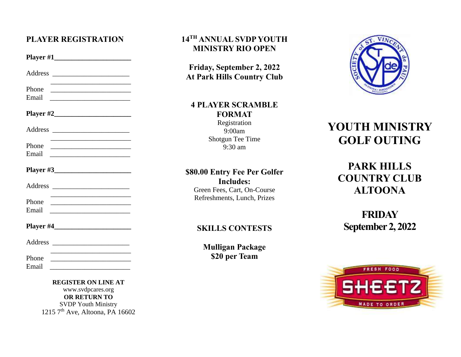### **PLAYER REGISTRATION**

|                | <b>Player #1</b>                                                                                                      |  |
|----------------|-----------------------------------------------------------------------------------------------------------------------|--|
|                |                                                                                                                       |  |
| Phone<br>Email | <u> 1980 - Johann Barn, mars eta bainar eta bat erroman erroman erroman erroman erroman erroman erroman erroman e</u> |  |
|                |                                                                                                                       |  |
|                |                                                                                                                       |  |
| Phone<br>Email | <u> 1989 - Johann Barbara, martxa alemaniar arg</u>                                                                   |  |
|                | Player #3                                                                                                             |  |
|                |                                                                                                                       |  |
| Phone<br>Email | <u> 1989 - Johann Barn, mars ann an t-Amhain an t-Amhain an t-Amhain an t-Amhain an t-Amhain an t-Amhain an t-A</u>   |  |
|                |                                                                                                                       |  |
|                |                                                                                                                       |  |
| Phone<br>Email | the control of the control of the control of the control of the control of the control of                             |  |

**REGISTER ON LINE AT** www.svdpcares.org **OR RETURN TO** SVDP Youth Ministry 1215 7<sup>th</sup> Ave, Altoona, PA 16602

#### **14 TH ANNUAL SVDP YOUTH MINISTRY RIO OPEN**

**Friday, September 2, 2022 At Park Hills Country Club**

## **4 PLAYER SCRAMBLE FORMAT**

Registration 9:00am Shotgun Tee Time 9:30 am

## **\$80.00 Entry Fee Per Golfer Includes:**

Green Fees, Cart, On-Course Refreshments, Lunch, Prizes

#### **SKILLS CONTESTS**

**Mulligan Package \$20 per Team**



# **YOUTH MINISTRY GOLF OUTING**

## **PARK HILLS COUNTRY CLUB ALTOONA**

**FRIDAY September 2, 2022**